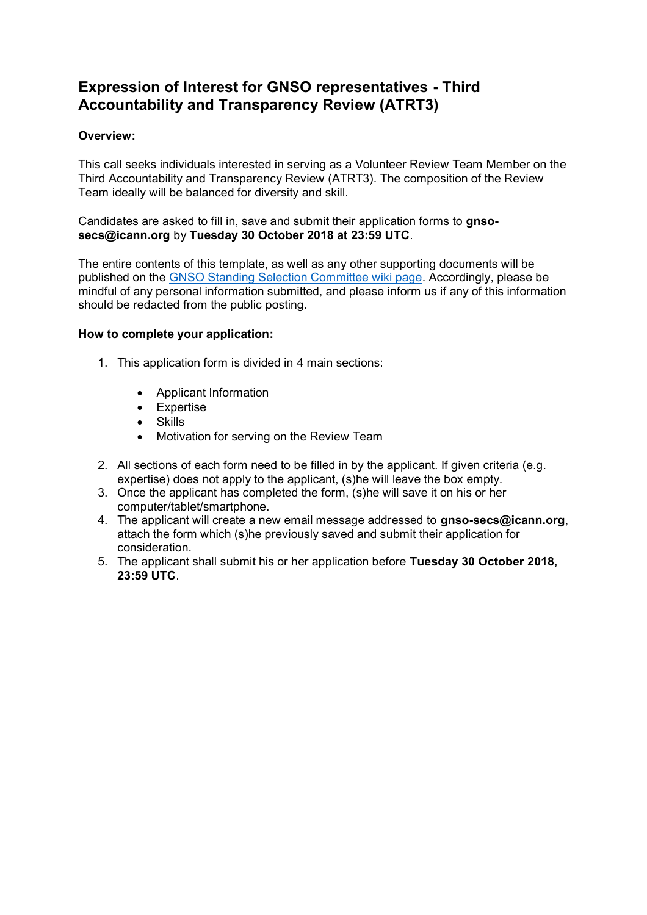### **Expression of Interest for GNSO representatives - Third Accountability and Transparency Review (ATRT3)**

#### **Overview:**

This call seeks individuals interested in serving as a Volunteer Review Team Member on the Third Accountability and Transparency Review (ATRT3). The composition of the Review Team ideally will be balanced for diversity and skill.

Candidates are asked to fill in, save and submit their application forms to **gnsosecs@icann.org** by **Tuesday 30 October 2018 at 23:59 UTC**.

The entire contents of this template, as well as any other supporting documents will be published on the [GNSO Standing Selection Committee wiki page.](https://community.icann.org/display/GSSC/GNSO+Standing+Selection+Committee+Home) Accordingly, please be mindful of any personal information submitted, and please inform us if any of this information should be redacted from the public posting.

#### **How to complete your application:**

- 1. This application form is divided in 4 main sections:
	- Applicant Information
	- Expertise
	- Skills
	- Motivation for serving on the Review Team
- 2. All sections of each form need to be filled in by the applicant. If given criteria (e.g. expertise) does not apply to the applicant, (s)he will leave the box empty.
- 3. Once the applicant has completed the form, (s)he will save it on his or her computer/tablet/smartphone.
- 4. The applicant will create a new email message addressed to **gnso-secs@icann.org**, attach the form which (s)he previously saved and submit their application for consideration.
- 5. The applicant shall submit his or her application before **Tuesday 30 October 2018, 23:59 UTC**.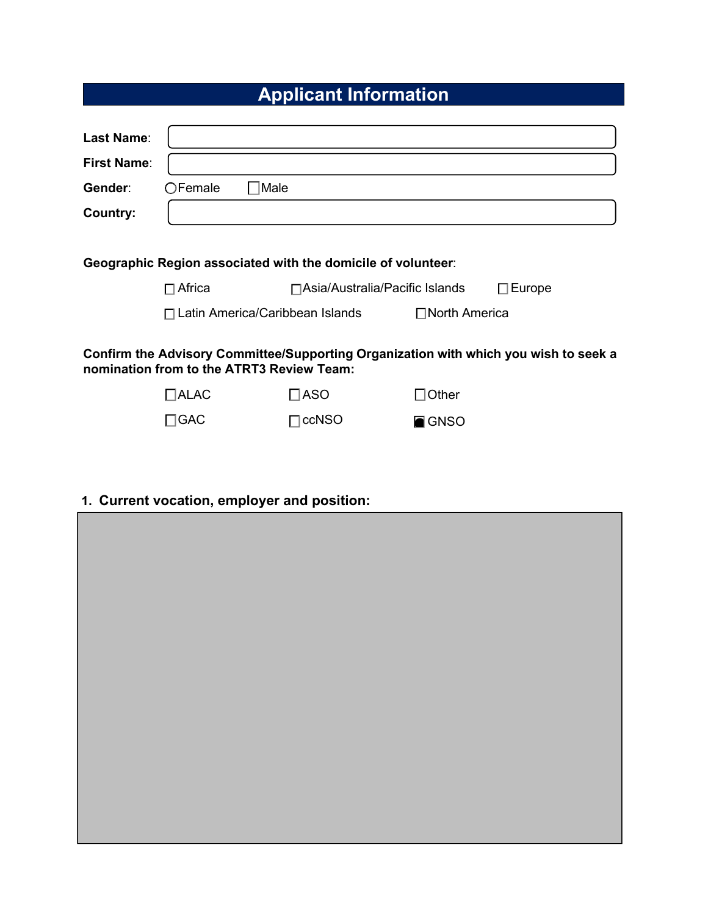# **Applicant Information**

| <b>Last Name:</b>                                                                                                                 |                                   |                                  |                |                  |  |  |  |
|-----------------------------------------------------------------------------------------------------------------------------------|-----------------------------------|----------------------------------|----------------|------------------|--|--|--|
| <b>First Name:</b>                                                                                                                |                                   |                                  |                |                  |  |  |  |
| Gender:                                                                                                                           | $\Box$ Female<br>$\square$ Male   |                                  |                |                  |  |  |  |
| <b>Country:</b>                                                                                                                   |                                   |                                  |                |                  |  |  |  |
|                                                                                                                                   |                                   |                                  |                |                  |  |  |  |
| Geographic Region associated with the domicile of volunteer:                                                                      |                                   |                                  |                |                  |  |  |  |
|                                                                                                                                   | $\Box$ Africa                     | □ Asia/Australia/Pacific Islands |                | $\square$ Europe |  |  |  |
|                                                                                                                                   | □ Latin America/Caribbean Islands |                                  | □North America |                  |  |  |  |
| Confirm the Advisory Committee/Supporting Organization with which you wish to seek a<br>nomination from to the ATRT3 Review Team: |                                   |                                  |                |                  |  |  |  |
|                                                                                                                                   | $\Box$ ALAC                       | $\square$ ASO                    | $\Box$ Other   |                  |  |  |  |
|                                                                                                                                   | $\Box$ GAC                        | $\Box$ ccNSO                     | 回 GNSO         |                  |  |  |  |

## **1. Current vocation, employer and position:**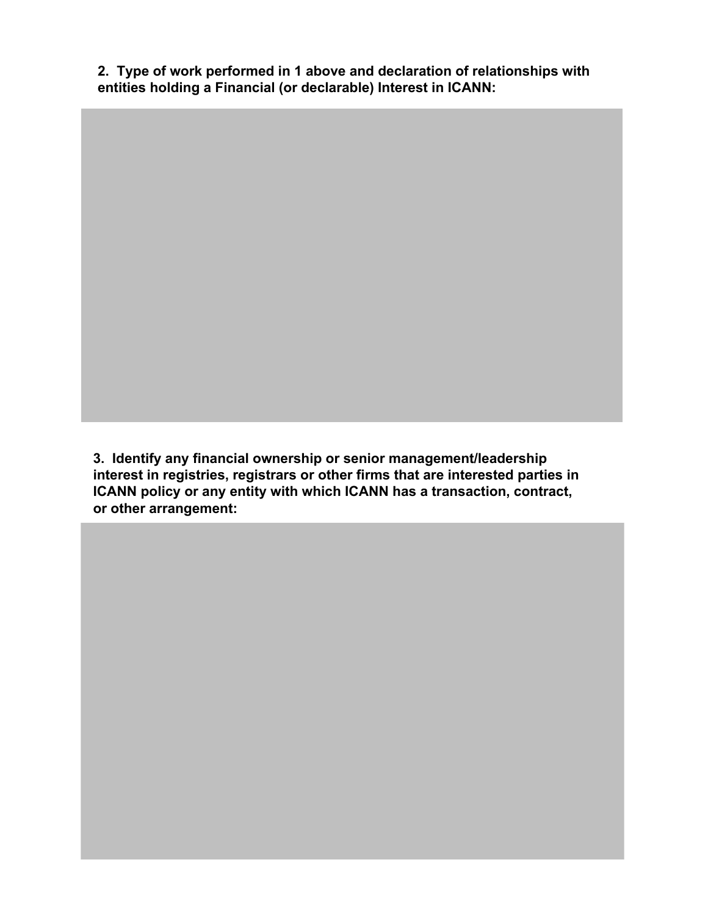2. Type of work performed in 1 above and declaration of relationships with entities holding a Financial (or declarable) Interest in ICANN:

3. Identify any financial ownership or senior management/leadership interest in registries, registrars or other firms that are interested parties in ICANN policy or any entity with which ICANN has a transaction, contract, or other arrangement: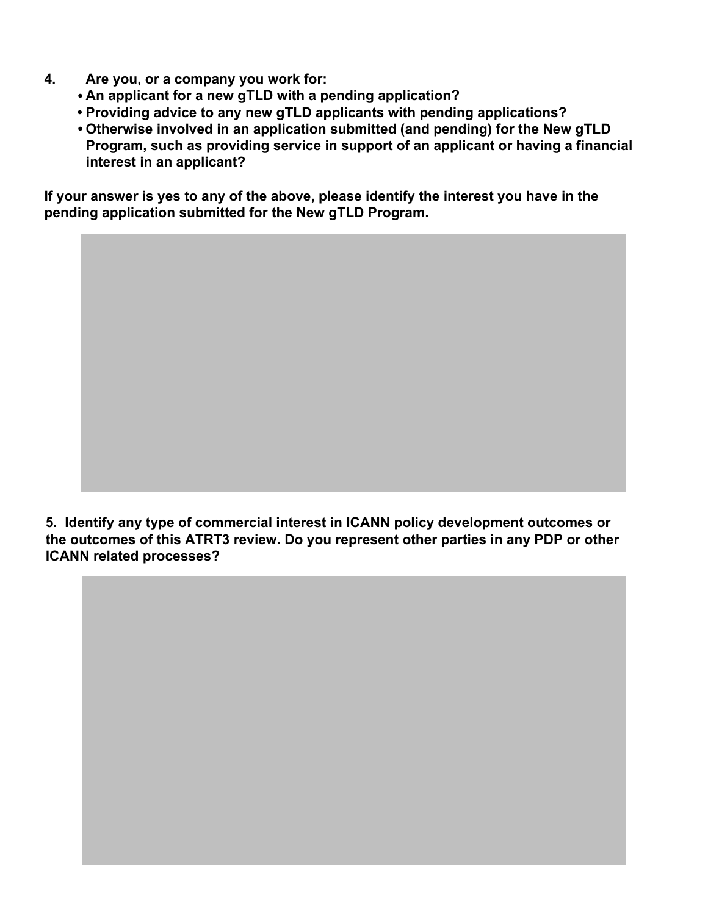- $\mathbf{4}$ . Are you, or a company you work for:
	- An applicant for a new gTLD with a pending application?
	- Providing advice to any new gTLD applicants with pending applications?
	- . Otherwise involved in an application submitted (and pending) for the New gTLD Program, such as providing service in support of an applicant or having a financial interest in an applicant?

If your answer is yes to any of the above, please identify the interest you have in the pending application submitted for the New gTLD Program.

5. Identify any type of commercial interest in ICANN policy development outcomes or the outcomes of this ATRT3 review. Do you represent other parties in any PDP or other **ICANN related processes?**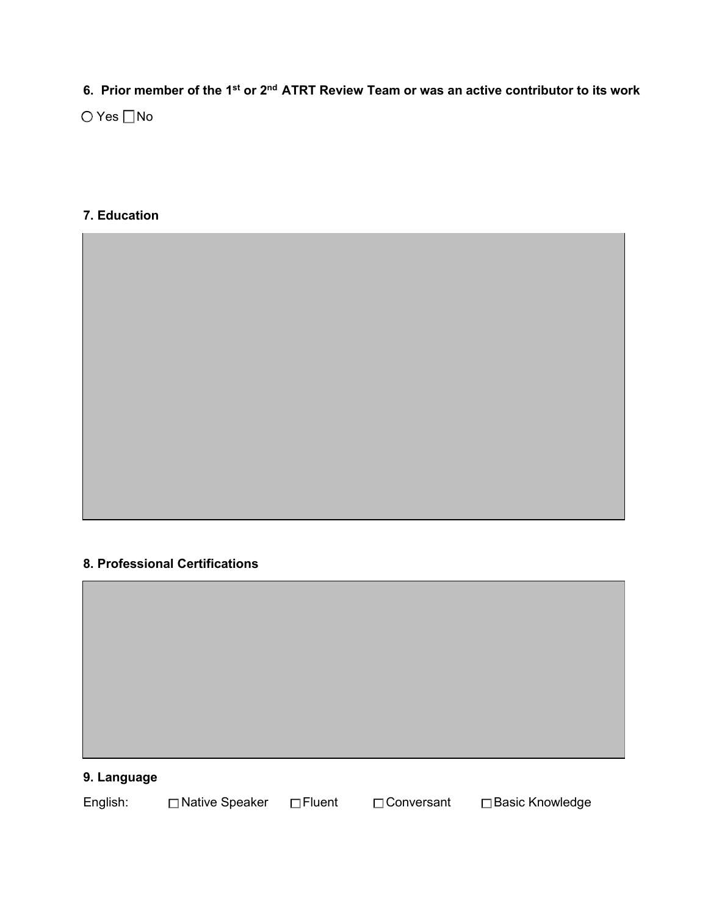**Prior member of the 1Vt or Qd ATRT Review Team or was an active contributor to its work**

○ Yes No

#### **Education**

#### **Professional Certifications**



### **Language**

| English: | □ Native Speaker □ Fluent | <b>O</b> Conversant | □ Basic Knowledge |
|----------|---------------------------|---------------------|-------------------|
|          |                           |                     |                   |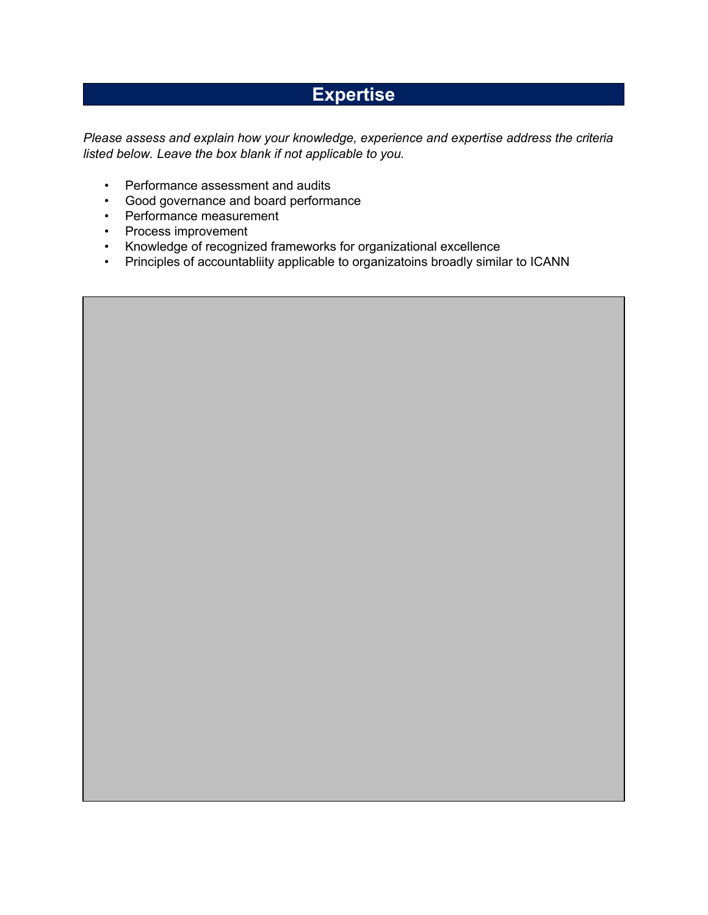## **Expertise**

Please assess and explain how your knowledge, experience and expertise address the criteria listed below. Leave the box blank if not applicable to you.

- Performance assessment and audits
- Good governance and board performance
- Performance measurement
- Process improvement
- Knowledge of recognized frameworks for organizational excellence
- Principles of accountabliity applicable to organizatoins broadly similar to ICANN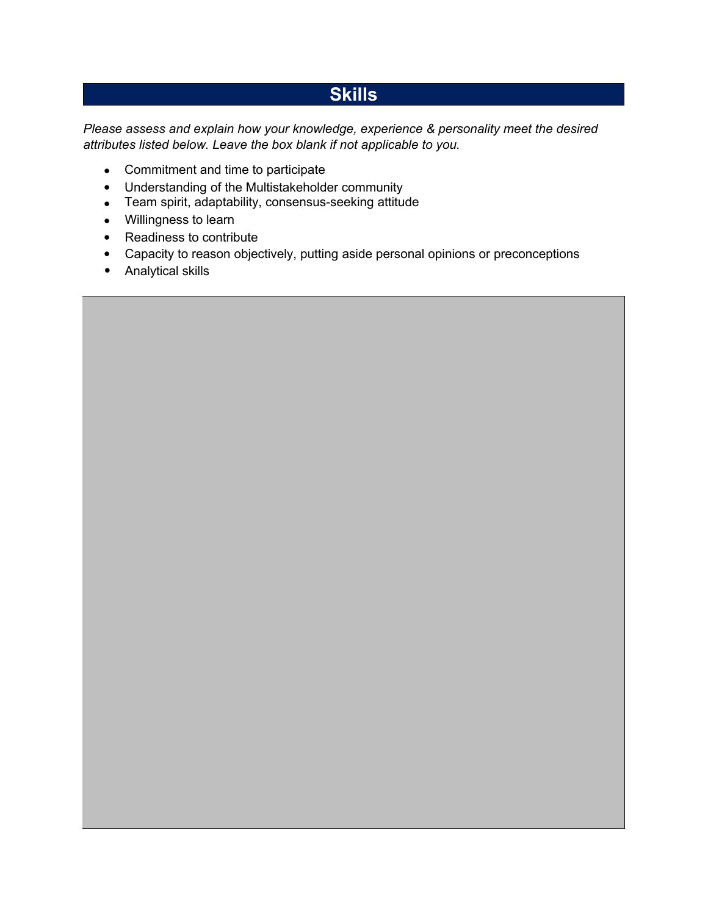## **Skills**

*Please assess and explain how your knowledge, experience & personality meet the desired attributes listed below. Leave the box blank if not applicable to you.* 

- Commitment and time to participate
- Understanding of the Multistakeholder community
- Team spirit, adaptability, consensus-seeking attitude
- Willingness to learn
- Readiness to contribute
- Capacity to reason objectively, putting aside personal opinions or preconceptions
- Analytical skills